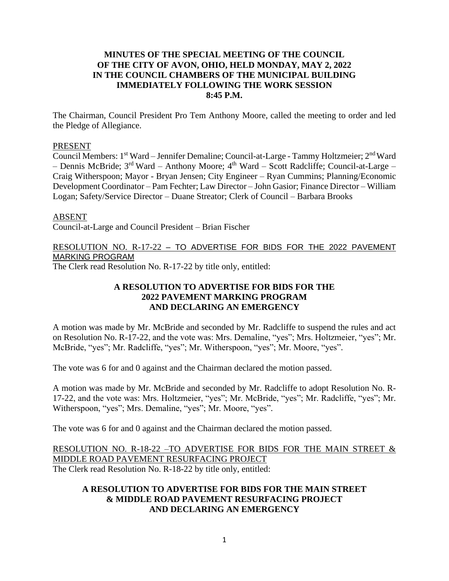# **MINUTES OF THE SPECIAL MEETING OF THE COUNCIL OF THE CITY OF AVON, OHIO, HELD MONDAY, MAY 2, 2022 IN THE COUNCIL CHAMBERS OF THE MUNICIPAL BUILDING IMMEDIATELY FOLLOWING THE WORK SESSION 8:45 P.M.**

The Chairman, Council President Pro Tem Anthony Moore, called the meeting to order and led the Pledge of Allegiance.

### PRESENT

Council Members: 1<sup>st</sup> Ward – Jennifer Demaline; Council-at-Large - Tammy Holtzmeier; 2<sup>nd</sup> Ward – Dennis McBride; 3<sup>rd</sup> Ward – Anthony Moore; 4<sup>th</sup> Ward – Scott Radcliffe; Council-at-Large – Craig Witherspoon; Mayor - Bryan Jensen; City Engineer – Ryan Cummins; Planning/Economic Development Coordinator – Pam Fechter; Law Director – John Gasior; Finance Director – William Logan; Safety/Service Director – Duane Streator; Clerk of Council – Barbara Brooks

#### ABSENT

Council-at-Large and Council President – Brian Fischer

# RESOLUTION NO. R-17-22 – TO ADVERTISE FOR BIDS FOR THE 2022 PAVEMENT MARKING PROGRAM

The Clerk read Resolution No. R-17-22 by title only, entitled:

## **A RESOLUTION TO ADVERTISE FOR BIDS FOR THE 2022 PAVEMENT MARKING PROGRAM AND DECLARING AN EMERGENCY**

A motion was made by Mr. McBride and seconded by Mr. Radcliffe to suspend the rules and act on Resolution No. R-17-22, and the vote was: Mrs. Demaline, "yes"; Mrs. Holtzmeier, "yes"; Mr. McBride, "yes"; Mr. Radcliffe, "yes"; Mr. Witherspoon, "yes"; Mr. Moore, "yes".

The vote was 6 for and 0 against and the Chairman declared the motion passed.

A motion was made by Mr. McBride and seconded by Mr. Radcliffe to adopt Resolution No. R-17-22, and the vote was: Mrs. Holtzmeier, "yes"; Mr. McBride, "yes"; Mr. Radcliffe, "yes"; Mr. Witherspoon, "yes"; Mrs. Demaline, "yes"; Mr. Moore, "yes".

The vote was 6 for and 0 against and the Chairman declared the motion passed.

RESOLUTION NO. R-18-22 –TO ADVERTISE FOR BIDS FOR THE MAIN STREET & MIDDLE ROAD PAVEMENT RESURFACING PROJECT The Clerk read Resolution No. R-18-22 by title only, entitled:

## **A RESOLUTION TO ADVERTISE FOR BIDS FOR THE MAIN STREET & MIDDLE ROAD PAVEMENT RESURFACING PROJECT AND DECLARING AN EMERGENCY**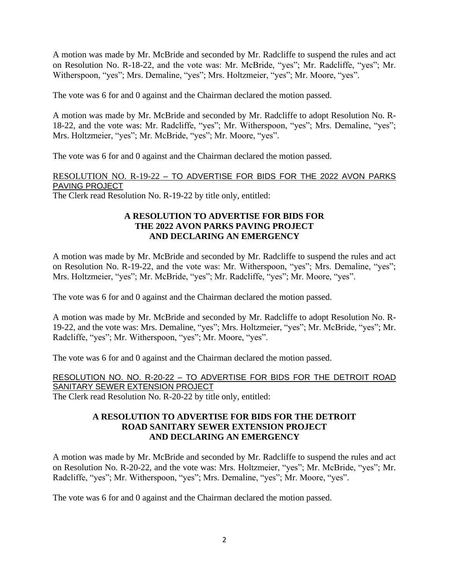A motion was made by Mr. McBride and seconded by Mr. Radcliffe to suspend the rules and act on Resolution No. R-18-22, and the vote was: Mr. McBride, "yes"; Mr. Radcliffe, "yes"; Mr. Witherspoon, "yes"; Mrs. Demaline, "yes"; Mrs. Holtzmeier, "yes"; Mr. Moore, "yes".

The vote was 6 for and 0 against and the Chairman declared the motion passed.

A motion was made by Mr. McBride and seconded by Mr. Radcliffe to adopt Resolution No. R-18-22, and the vote was: Mr. Radcliffe, "yes"; Mr. Witherspoon, "yes"; Mrs. Demaline, "yes"; Mrs. Holtzmeier, "yes"; Mr. McBride, "yes"; Mr. Moore, "yes".

The vote was 6 for and 0 against and the Chairman declared the motion passed.

RESOLUTION NO. R-19-22 – TO ADVERTISE FOR BIDS FOR THE 2022 AVON PARKS PAVING PROJECT

The Clerk read Resolution No. R-19-22 by title only, entitled:

# **A RESOLUTION TO ADVERTISE FOR BIDS FOR THE 2022 AVON PARKS PAVING PROJECT AND DECLARING AN EMERGENCY**

A motion was made by Mr. McBride and seconded by Mr. Radcliffe to suspend the rules and act on Resolution No. R-19-22, and the vote was: Mr. Witherspoon, "yes"; Mrs. Demaline, "yes"; Mrs. Holtzmeier, "yes"; Mr. McBride, "yes"; Mr. Radcliffe, "yes"; Mr. Moore, "yes".

The vote was 6 for and 0 against and the Chairman declared the motion passed.

A motion was made by Mr. McBride and seconded by Mr. Radcliffe to adopt Resolution No. R-19-22, and the vote was: Mrs. Demaline, "yes"; Mrs. Holtzmeier, "yes"; Mr. McBride, "yes"; Mr. Radcliffe, "yes"; Mr. Witherspoon, "yes"; Mr. Moore, "yes".

The vote was 6 for and 0 against and the Chairman declared the motion passed.

RESOLUTION NO. NO. R-20-22 – TO ADVERTISE FOR BIDS FOR THE DETROIT ROAD SANITARY SEWER EXTENSION PROJECT

The Clerk read Resolution No. R-20-22 by title only, entitled:

# **A RESOLUTION TO ADVERTISE FOR BIDS FOR THE DETROIT ROAD SANITARY SEWER EXTENSION PROJECT AND DECLARING AN EMERGENCY**

A motion was made by Mr. McBride and seconded by Mr. Radcliffe to suspend the rules and act on Resolution No. R-20-22, and the vote was: Mrs. Holtzmeier, "yes"; Mr. McBride, "yes"; Mr. Radcliffe, "yes"; Mr. Witherspoon, "yes"; Mrs. Demaline, "yes"; Mr. Moore, "yes".

The vote was 6 for and 0 against and the Chairman declared the motion passed.